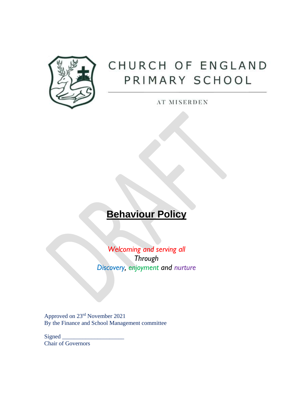

# CHURCH OF ENGLAND PRIMARY SCHOOL

AT MISERDEN

# **Behaviour Policy**

*Welcoming and serving all Through Discovery, enjoyment and nurture*

Approved on 23rd November 2021 By the Finance and School Management committee

Signed Chair of Governors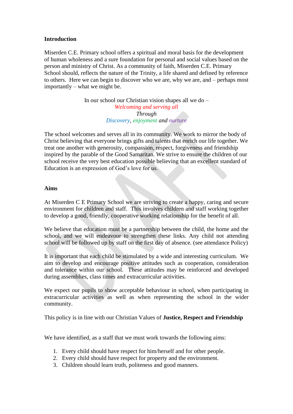# **Introduction**

Miserden C.E. Primary school offers a spiritual and moral basis for the development of human wholeness and a sure foundation for personal and social values based on the person and ministry of Christ. As a community of faith, Miserden C.E. Primary School should, reflects the nature of the Trinity, a life shared and defined by reference to others. Here we can begin to discover who we are, why we are, and – perhaps most importantly – what we might be.

> In our school our Christian vision shapes all we do – *Welcoming and serving all Through Discovery, enjoyment and nurture*

The school welcomes and serves all in its community. We work to mirror the body of Christ believing that everyone brings gifts and talents that enrich our life together. We treat one another with generosity, compassion, respect, forgiveness and friendship inspired by the parable of the Good Samaritan. We strive to ensure the children of our school receive the very best education possible believing that an excellent standard of Education is an expression of God's love for us.

#### **Aims**

At Miserden C E Primary School we are striving to create a happy, caring and secure environment for children and staff. This involves children and staff working together to develop a good, friendly, cooperative working relationship for the benefit of all.

We believe that education must be a partnership between the child, the home and the school, and we will endeavour to strengthen these links. Any child not attending school will be followed up by staff on the first day of absence. (see attendance Policy)

It is important that each child be stimulated by a wide and interesting curriculum. We aim to develop and encourage positive attitudes such as cooperation, consideration and tolerance within our school. These attitudes may be reinforced and developed during assemblies, class times and extracurricular activities.

We expect our pupils to show acceptable behaviour in school, when participating in extracurricular activities as well as when representing the school in the wider community.

This policy is in line with our Christian Values of **Justice, Respect and Friendship**

We have identified, as a staff that we must work towards the following aims:

- 1. Every child should have respect for him/herself and for other people.
- 2. Every child should have respect for property and the environment.
- 3. Children should learn truth, politeness and good manners.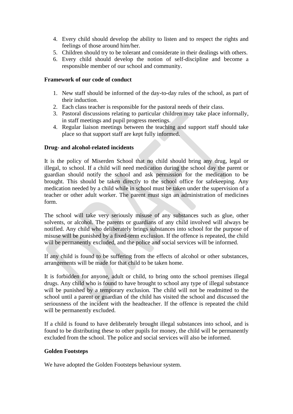- 4. Every child should develop the ability to listen and to respect the rights and feelings of those around him/her.
- 5. Children should try to be tolerant and considerate in their dealings with others.
- 6. Every child should develop the notion of self-discipline and become a responsible member of our school and community.

# **Framework of our code of conduct**

- 1. New staff should be informed of the day-to-day rules of the school, as part of their induction.
- 2. Each class teacher is responsible for the pastoral needs of their class.
- 3. Pastoral discussions relating to particular children may take place informally, in staff meetings and pupil progress meetings.
- 4. Regular liaison meetings between the teaching and support staff should take place so that support staff are kept fully informed.

# **Drug- and alcohol-related incidents**

It is the policy of Miserden School that no child should bring any drug, legal or illegal, to school. If a child will need medication during the school day the parent or guardian should notify the school and ask permission for the medication to be brought. This should be taken directly to the school office for safekeeping. Any medication needed by a child while in school must be taken under the supervision of a teacher or other adult worker. The parent must sign an administration of medicines form.

The school will take very seriously misuse of any substances such as glue, other solvents, or alcohol. The parents or guardians of any child involved will always be notified. Any child who deliberately brings substances into school for the purpose of misuse will be punished by a fixed-term exclusion. If the offence is repeated, the child will be permanently excluded, and the police and social services will be informed.

If any child is found to be suffering from the effects of alcohol or other substances, arrangements will be made for that child to be taken home.

It is forbidden for anyone, adult or child, to bring onto the school premises illegal drugs. Any child who is found to have brought to school any type of illegal substance will be punished by a temporary exclusion. The child will not be readmitted to the school until a parent or guardian of the child has visited the school and discussed the seriousness of the incident with the headteacher. If the offence is repeated the child will be permanently excluded.

If a child is found to have deliberately brought illegal substances into school, and is found to be distributing these to other pupils for money, the child will be permanently excluded from the school. The police and social services will also be informed.

# **Golden Footsteps**

We have adopted the Golden Footsteps behaviour system.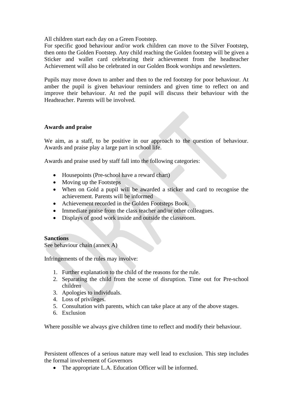All children start each day on a Green Footstep.

For specific good behaviour and/or work children can move to the Silver Footstep, then onto the Golden Footstep. Any child reaching the Golden footstep will be given a Sticker and wallet card celebrating their achievement from the headteacher Achievement will also be celebrated in our Golden Book worships and newsletters.

Pupils may move down to amber and then to the red footstep for poor behaviour. At amber the pupil is given behaviour reminders and given time to reflect on and improve their behaviour. At red the pupil will discuss their behaviour with the Headteacher. Parents will be involved.

# **Awards and praise**

We aim, as a staff, to be positive in our approach to the question of behaviour. Awards and praise play a large part in school life.

Awards and praise used by staff fall into the following categories:

- Housepoints (Pre-school have a reward chart)
- Moving up the Footsteps
- When on Gold a pupil will be awarded a sticker and card to recognise the achievement. Parents will be informed
- Achievement recorded in the Golden Footsteps Book.
- Immediate praise from the class teacher and/or other colleagues.
- Displays of good work inside and outside the classroom.

# **Sanctions**

See behaviour chain (annex A)

Infringements of the rules may involve:

- 1. Further explanation to the child of the reasons for the rule.
- 2. Separating the child from the scene of disruption. Time out for Pre-school children
- 3. Apologies to individuals.
- 4. Loss of privileges.
- 5. Consultation with parents, which can take place at any of the above stages.
- 6. Exclusion

Where possible we always give children time to reflect and modify their behaviour.

Persistent offences of a serious nature may well lead to exclusion. This step includes the formal involvement of Governors

• The appropriate L.A. Education Officer will be informed.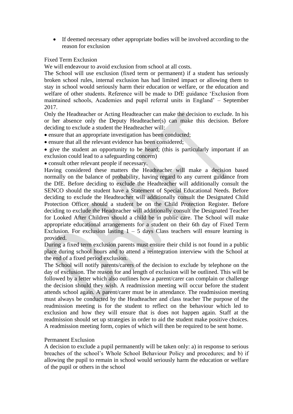• If deemed necessary other appropriate bodies will be involved according to the reason for exclusion

# Fixed Term Exclusion

We will endeavour to avoid exclusion from school at all costs.

The School will use exclusion (fixed term or permanent) if a student has seriously broken school rules, internal exclusion has had limited impact or allowing them to stay in school would seriously harm their education or welfare, or the education and welfare of other students. Reference will be made to DfE guidance 'Exclusion from maintained schools, Academies and pupil referral units in England' – September 2017.

Only the Headteacher or Acting Headteacher can make the decision to exclude. In his or her absence only the Deputy Headteacher(s) can make this decision. Before deciding to exclude a student the Headteacher will:

- ensure that an appropriate investigation has been conducted;
- ensure that all the relevant evidence has been considered;
- give the student an opportunity to be heard; (this is particularly important if an exclusion could lead to a safeguarding concern)
- consult other relevant people if necessary.

Having considered these matters the Headteacher will make a decision based normally on the balance of probability, having regard to any current guidance from the DfE. Before deciding to exclude the Headteacher will additionally consult the SENCO should the student have a Statement of Special Educational Needs. Before deciding to exclude the Headteacher will additionally consult the Designated Child Protection Officer should a student be on the Child Protection Register. Before deciding to exclude the Headteacher will additionally consult the Designated Teacher for Looked After Children should a child be in public care. The School will make appropriate educational arrangements for a student on their 6th day of Fixed Term Exclusion. For exclusion lasting  $1 - 5$  days Class teachers will ensure learning is provided.

During a fixed term exclusion parents must ensure their child is not found in a public place during school hours and to attend a reintegration interview with the School at the end of a fixed period exclusion.

The School will notify parents/carers of the decision to exclude by telephone on the day of exclusion. The reason for and length of exclusion will be outlined. This will be followed by a letter which also outlines how a parent/carer can complain or challenge the decision should they wish. A readmission meeting will occur before the student attends school again. A parent/carer must be in attendance. The readmission meeting must always be conducted by the Headteacher and class teacher The purpose of the readmission meeting is for the student to reflect on the behaviour which led to exclusion and how they will ensure that is does not happen again. Staff at the readmission should set up strategies in order to aid the student make positive choices. A readmission meeting form, copies of which will then be required to be sent home.

# Permanent Exclusion

A decision to exclude a pupil permanently will be taken only: a) in response to serious breaches of the school's Whole School Behaviour Policy and procedures; and b) if allowing the pupil to remain in school would seriously harm the education or welfare of the pupil or others in the school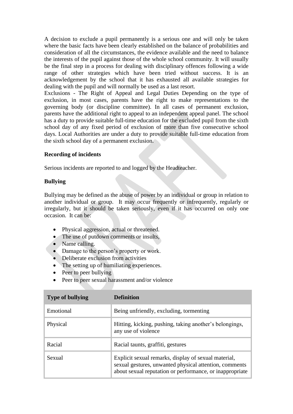A decision to exclude a pupil permanently is a serious one and will only be taken where the basic facts have been clearly established on the balance of probabilities and consideration of all the circumstances, the evidence available and the need to balance the interests of the pupil against those of the whole school community. It will usually be the final step in a process for dealing with disciplinary offences following a wide range of other strategies which have been tried without success. It is an acknowledgement by the school that it has exhausted all available strategies for dealing with the pupil and will normally be used as a last resort.

Exclusions - The Right of Appeal and Legal Duties Depending on the type of exclusion, in most cases, parents have the right to make representations to the governing body (or discipline committee). In all cases of permanent exclusion, parents have the additional right to appeal to an independent appeal panel. The school has a duty to provide suitable full-time education for the excluded pupil from the sixth school day of any fixed period of exclusion of more than five consecutive school days. Local Authorities are under a duty to provide suitable full-time education from the sixth school day of a permanent exclusion.

# **Recording of incidents**

Serious incidents are reported to and logged by the Headteacher.

# **Bullying**

Bullying may be defined as the abuse of power by an individual or group in relation to another individual or group. It may occur frequently or infrequently, regularly or irregularly, but it should be taken seriously, even if it has occurred on only one occasion. It can be:

- Physical aggression, actual or threatened.
- The use of putdown comments or insults,
- Name calling.
- Damage to the person's property or work.
- Deliberate exclusion from activities
- The setting up of humiliating experiences.
- Peer to peer bullying
- Peer to peer sexual harassment and/or violence

| <b>Type of bullying</b> | <b>Definition</b>                                                                                                                                                          |
|-------------------------|----------------------------------------------------------------------------------------------------------------------------------------------------------------------------|
| Emotional               | Being unfriendly, excluding, tormenting                                                                                                                                    |
| Physical                | Hitting, kicking, pushing, taking another's belongings,<br>any use of violence                                                                                             |
| Racial                  | Racial taunts, graffiti, gestures                                                                                                                                          |
| Sexual                  | Explicit sexual remarks, display of sexual material,<br>sexual gestures, unwanted physical attention, comments<br>about sexual reputation or performance, or inappropriate |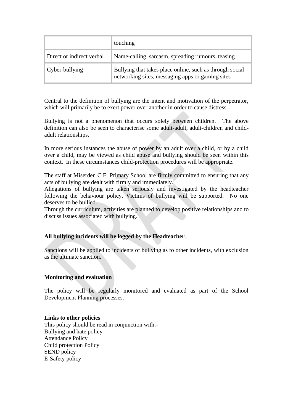|                           | touching                                                                                                     |
|---------------------------|--------------------------------------------------------------------------------------------------------------|
| Direct or indirect verbal | Name-calling, sarcasm, spreading rumours, teasing                                                            |
| Cyber-bullying            | Bullying that takes place online, such as through social<br>networking sites, messaging apps or gaming sites |

Central to the definition of bullying are the intent and motivation of the perpetrator, which will primarily be to exert power over another in order to cause distress.

Bullying is not a phenomenon that occurs solely between children. The above definition can also be seen to characterise some adult-adult, adult-children and childadult relationships.

In more serious instances the abuse of power by an adult over a child, or by a child over a child, may be viewed as child abuse and bullying should be seen within this context. In these circumstances child-protection procedures will be appropriate.

The staff at Miserden C.E. Primary School are firmly committed to ensuring that any acts of bullying are dealt with firmly and immediately.

Allegations of bullying are taken seriously and investigated by the headteacher following the behaviour policy. Victims of bullying will be supported. No one deserves to be bullied.

Through the curriculum, activities are planned to develop positive relationships and to discuss issues associated with bullying.

# **All bullying incidents will be logged by the Headteacher**.

Sanctions will be applied to incidents of bullying as to other incidents, with exclusion as the ultimate sanction.

# **Monitoring and evaluation**

The policy will be regularly monitored and evaluated as part of the School Development Planning processes.

#### **Links to other policies**

This policy should be read in conjunction with:- Bullying and hate policy Attendance Policy Child protection Policy SEND policy E-Safety policy